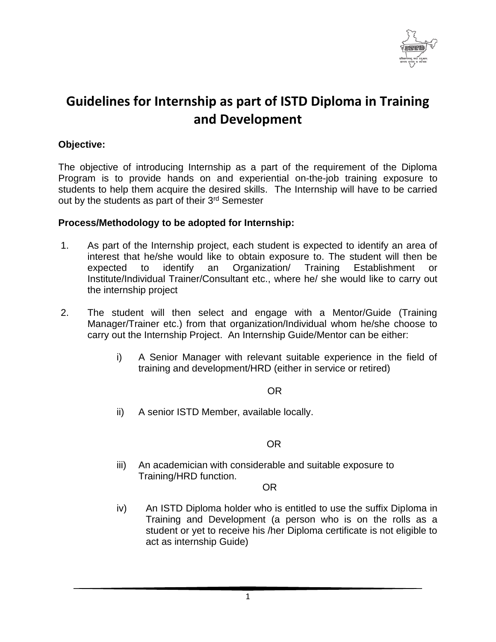

## **Guidelines for Internship as part of ISTD Diploma in Training and Development**

## **Objective:**

The objective of introducing Internship as a part of the requirement of the Diploma Program is to provide hands on and experiential on-the-job training exposure to students to help them acquire the desired skills. The Internship will have to be carried out by the students as part of their 3rd Semester

### **Process/Methodology to be adopted for Internship:**

- 1. As part of the Internship project, each student is expected to identify an area of interest that he/she would like to obtain exposure to. The student will then be expected to identify an Organization/ Training Establishment or Institute/Individual Trainer/Consultant etc., where he/ she would like to carry out the internship project
- 2. The student will then select and engage with a Mentor/Guide (Training Manager/Trainer etc.) from that organization/Individual whom he/she choose to carry out the Internship Project. An Internship Guide/Mentor can be either:
	- i) A Senior Manager with relevant suitable experience in the field of training and development/HRD (either in service or retired)

## **OR** Service Service Service Service Service Service Service Service Service Service Service Service Service Service Service Service Service Service Service Service Service Service Service Service Service Service Service S

ii) A senior ISTD Member, available locally.

### OR

iii) An academician with considerable and suitable exposure to Training/HRD function.

### OR

iv) An ISTD Diploma holder who is entitled to use the suffix Diploma in Training and Development (a person who is on the rolls as a student or yet to receive his /her Diploma certificate is not eligible to act as internship Guide)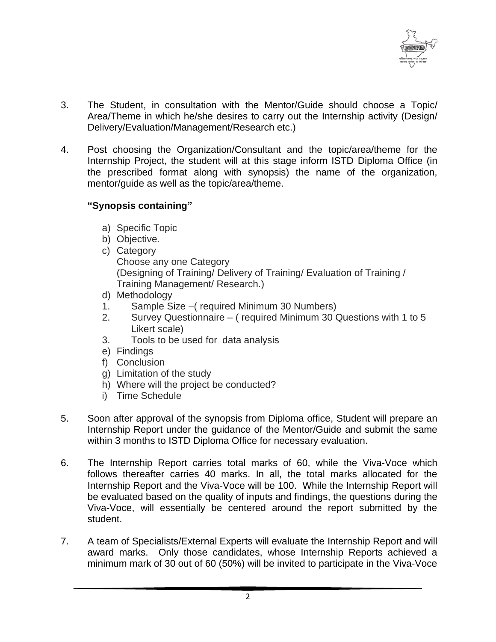

- 3. The Student, in consultation with the Mentor/Guide should choose a Topic/ Area/Theme in which he/she desires to carry out the Internship activity (Design/ Delivery/Evaluation/Management/Research etc.)
- 4. Post choosing the Organization/Consultant and the topic/area/theme for the Internship Project, the student will at this stage inform ISTD Diploma Office (in the prescribed format along with synopsis) the name of the organization, mentor/guide as well as the topic/area/theme.

## **"Synopsis containing"**

- a) Specific Topic
- b) Objective.
- c) Category Choose any one Category (Designing of Training/ Delivery of Training/ Evaluation of Training / Training Management/ Research.)
- d) Methodology
- 1. Sample Size –( required Minimum 30 Numbers)
- 2. Survey Questionnaire ( required Minimum 30 Questions with 1 to 5 Likert scale)
- 3. Tools to be used for data analysis
- e) Findings
- f) Conclusion
- g) Limitation of the study
- h) Where will the project be conducted?
- i) Time Schedule
- 5. Soon after approval of the synopsis from Diploma office, Student will prepare an Internship Report under the guidance of the Mentor/Guide and submit the same within 3 months to ISTD Diploma Office for necessary evaluation.
- 6. The Internship Report carries total marks of 60, while the Viva-Voce which follows thereafter carries 40 marks. In all, the total marks allocated for the Internship Report and the Viva-Voce will be 100. While the Internship Report will be evaluated based on the quality of inputs and findings, the questions during the Viva-Voce, will essentially be centered around the report submitted by the student.
- 7. A team of Specialists/External Experts will evaluate the Internship Report and will award marks. Only those candidates, whose Internship Reports achieved a minimum mark of 30 out of 60 (50%) will be invited to participate in the Viva-Voce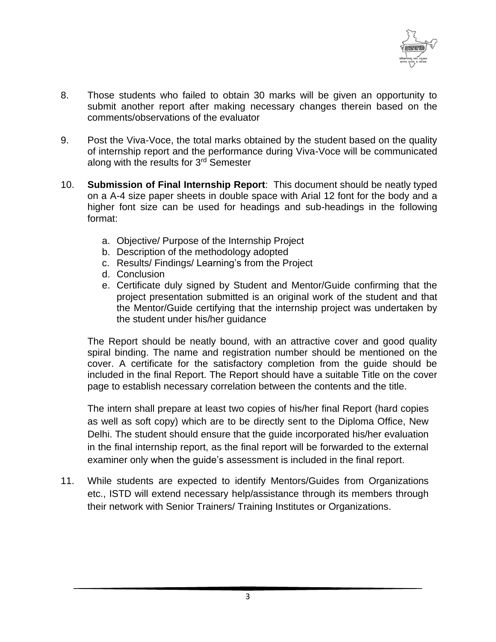

- 8. Those students who failed to obtain 30 marks will be given an opportunity to submit another report after making necessary changes therein based on the comments/observations of the evaluator
- 9. Post the Viva-Voce, the total marks obtained by the student based on the quality of internship report and the performance during Viva-Voce will be communicated along with the results for 3<sup>rd</sup> Semester
- 10. **Submission of Final Internship Report**: This document should be neatly typed on a A-4 size paper sheets in double space with Arial 12 font for the body and a higher font size can be used for headings and sub-headings in the following format:
	- a. Objective/ Purpose of the Internship Project
	- b. Description of the methodology adopted
	- c. Results/ Findings/ Learning's from the Project
	- d. Conclusion
	- e. Certificate duly signed by Student and Mentor/Guide confirming that the project presentation submitted is an original work of the student and that the Mentor/Guide certifying that the internship project was undertaken by the student under his/her guidance

The Report should be neatly bound, with an attractive cover and good quality spiral binding. The name and registration number should be mentioned on the cover. A certificate for the satisfactory completion from the guide should be included in the final Report. The Report should have a suitable Title on the cover page to establish necessary correlation between the contents and the title.

The intern shall prepare at least two copies of his/her final Report (hard copies as well as soft copy) which are to be directly sent to the Diploma Office, New Delhi. The student should ensure that the guide incorporated his/her evaluation in the final internship report, as the final report will be forwarded to the external examiner only when the guide's assessment is included in the final report.

11. While students are expected to identify Mentors/Guides from Organizations etc., ISTD will extend necessary help/assistance through its members through their network with Senior Trainers/ Training Institutes or Organizations.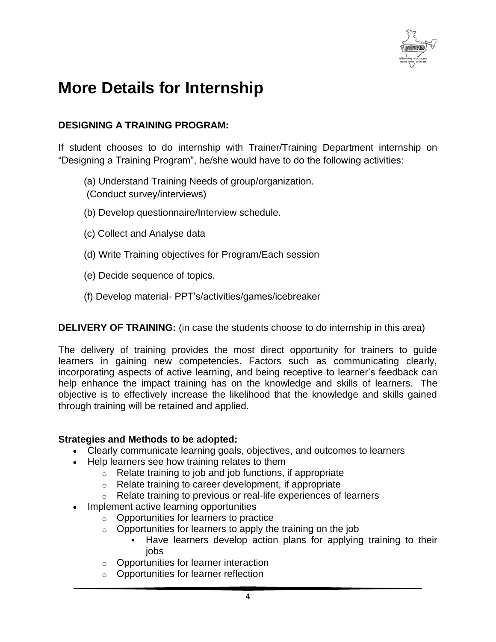

# **More Details for Internship**

## **DESIGNING A TRAINING PROGRAM:**

If student chooses to do internship with Trainer/Training Department internship on "Designing a Training Program", he/she would have to do the following activities:

- (a) Understand Training Needs of group/organization.
- (Conduct survey/interviews)
- (b) Develop questionnaire/Interview schedule.
- (c) Collect and Analyse data
- (d) Write Training objectives for Program/Each session
- (e) Decide sequence of topics.
- (f) Develop material- PPT's/activities/games/icebreaker

**DELIVERY OF TRAINING:** (in case the students choose to do internship in this area)

The delivery of training provides the most direct opportunity for trainers to guide learners in gaining new competencies. Factors such as communicating clearly, incorporating aspects of active learning, and being receptive to learner's feedback can help enhance the impact training has on the knowledge and skills of learners. The objective is to effectively increase the likelihood that the knowledge and skills gained through training will be retained and applied.

## **Strategies and Methods to be adopted:**

- Clearly communicate learning goals, objectives, and outcomes to learners
- Help learners see how training relates to them
	- $\circ$  Relate training to job and job functions, if appropriate
	- $\circ$  Relate training to career development, if appropriate
	- o Relate training to previous or real-life experiences of learners
- Implement active learning opportunities
	- o Opportunities for learners to practice
	- $\circ$  Opportunities for learners to apply the training on the job
		- Have learners develop action plans for applying training to their jobs
	- o Opportunities for learner interaction
	- o Opportunities for learner reflection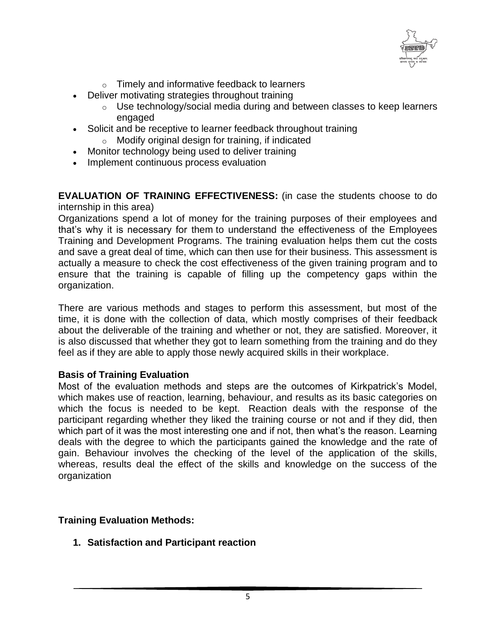

- o Timely and informative feedback to learners
- Deliver motivating strategies throughout training
	- o Use technology/social media during and between classes to keep learners engaged
- Solicit and be receptive to learner feedback throughout training
	- o Modify original design for training, if indicated
- Monitor technology being used to deliver training
- Implement continuous process evaluation

**EVALUATION OF TRAINING EFFECTIVENESS:** (in case the students choose to do internship in this area)

Organizations spend a lot of money for the training purposes of their employees and that's why it is necessary for them to understand the effectiveness of the Employees Training and Development Programs. The training evaluation helps them cut the costs and save a great deal of time, which can then use for their business. This assessment is actually a measure to check the cost effectiveness of the given training program and to ensure that the training is capable of filling up the competency gaps within the organization.

There are various methods and stages to perform this assessment, but most of the time, it is done with the collection of data, which mostly comprises of their feedback about the deliverable of the training and whether or not, they are satisfied. Moreover, it is also discussed that whether they got to learn something from the training and do they feel as if they are able to apply those newly acquired skills in their workplace.

### **Basis of Training Evaluation**

Most of the evaluation methods and steps are the outcomes of Kirkpatrick's Model, which makes use of reaction, learning, behaviour, and results as its basic categories on which the focus is needed to be kept. Reaction deals with the response of the participant regarding whether they liked the training course or not and if they did, then which part of it was the most interesting one and if not, then what's the reason. Learning deals with the degree to which the participants gained the knowledge and the rate of gain. Behaviour involves the checking of the level of the application of the skills, whereas, results deal the effect of the skills and knowledge on the success of the organization

### **Training Evaluation Methods:**

**1. Satisfaction and Participant reaction**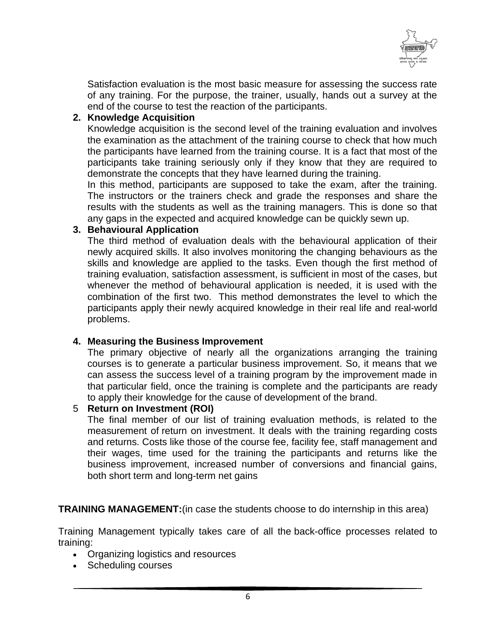

Satisfaction evaluation is the most basic measure for assessing the success rate of any training. For the purpose, the trainer, usually, hands out a survey at the end of the course to test the reaction of the participants.

## **2. Knowledge Acquisition**

Knowledge acquisition is the second level of the training evaluation and involves the examination as the attachment of the training course to check that how much the participants have learned from the training course. It is a fact that most of the participants take training seriously only if they know that they are required to demonstrate the concepts that they have learned during the training.

In this method, participants are supposed to take the exam, after the training. The instructors or the trainers check and grade the responses and share the results with the students as well as the training managers. This is done so that any gaps in the expected and acquired knowledge can be quickly sewn up.

## **3. Behavioural Application**

The third method of evaluation deals with the behavioural application of their newly acquired skills. It also involves monitoring the changing behaviours as the skills and knowledge are applied to the tasks. Even though the first method of training evaluation, satisfaction assessment, is sufficient in most of the cases, but whenever the method of behavioural application is needed, it is used with the combination of the first two. This method demonstrates the level to which the participants apply their newly acquired knowledge in their real life and real-world problems.

## **4. Measuring the Business Improvement**

The primary objective of nearly all the organizations arranging the training courses is to generate a particular business improvement. So, it means that we can assess the success level of a training program by the improvement made in that particular field, once the training is complete and the participants are ready to apply their knowledge for the cause of development of the brand.

### 5 **Return on Investment (ROI)**

The final member of our list of training evaluation methods, is related to the measurement of return on investment. It deals with the training regarding costs and returns. Costs like those of the course fee, facility fee, staff management and their wages, time used for the training the participants and returns like the business improvement, increased number of conversions and financial gains, both short term and long-term net gains

**TRAINING MANAGEMENT:**(in case the students choose to do internship in this area)

Training Management typically takes care of all the back-office processes related to training:

- Organizing logistics and resources
- Scheduling courses